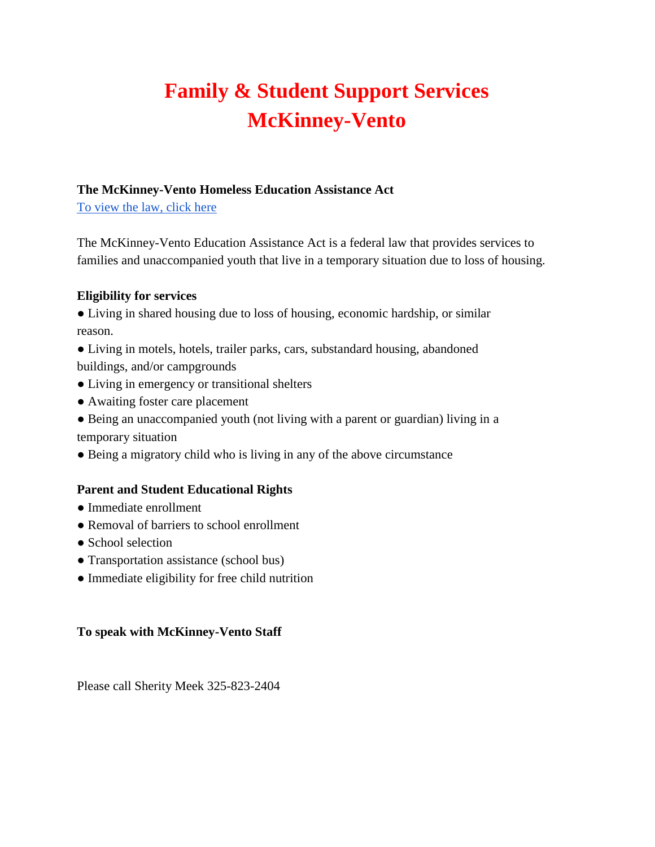# **Family & Student Support Services McKinney-Vento**

## **The McKinney-Vento Homeless Education Assistance Act**

[To view the law, click here](https://www2.ed.gov/policy/elsec/leg/esea02/pg116.html)

The McKinney-Vento Education Assistance Act is a federal law that provides services to families and unaccompanied youth that live in a temporary situation due to loss of housing.

## **Eligibility for services**

● Living in shared housing due to loss of housing, economic hardship, or similar reason.

● Living in motels, hotels, trailer parks, cars, substandard housing, abandoned buildings, and/or campgrounds

- Living in emergency or transitional shelters
- Awaiting foster care placement
- Being an unaccompanied youth (not living with a parent or guardian) living in a temporary situation
- Being a migratory child who is living in any of the above circumstance

## **Parent and Student Educational Rights**

- Immediate enrollment
- Removal of barriers to school enrollment
- School selection
- Transportation assistance (school bus)
- Immediate eligibility for free child nutrition

#### **To speak with McKinney-Vento Staff**

Please call Sherity Meek 325-823-2404